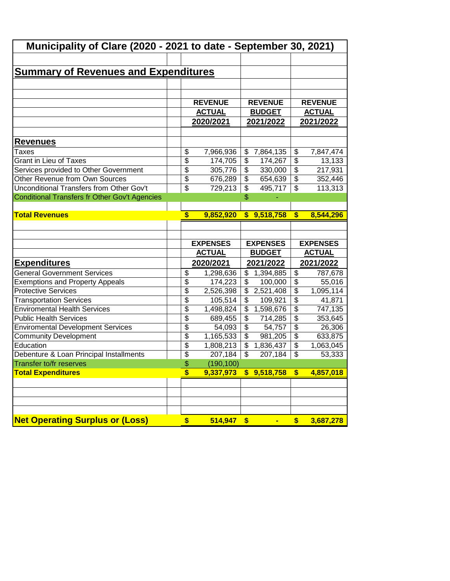| Municipality of Clare (2020 - 2021 to date - September 30, 2021)     |                                             |                      |                                             |                      |                           |                     |
|----------------------------------------------------------------------|---------------------------------------------|----------------------|---------------------------------------------|----------------------|---------------------------|---------------------|
|                                                                      |                                             |                      |                                             |                      |                           |                     |
| <b>Summary of Revenues and Expenditures</b>                          |                                             |                      |                                             |                      |                           |                     |
|                                                                      |                                             |                      |                                             |                      |                           |                     |
|                                                                      |                                             |                      |                                             |                      |                           |                     |
|                                                                      |                                             | <b>REVENUE</b>       |                                             | <b>REVENUE</b>       |                           | <b>REVENUE</b>      |
|                                                                      |                                             | <b>ACTUAL</b>        |                                             | <b>BUDGET</b>        |                           | <b>ACTUAL</b>       |
|                                                                      |                                             | 2020/2021            |                                             | 2021/2022            |                           | <u>2021/2022</u>    |
| <u>Revenues</u>                                                      |                                             |                      |                                             |                      |                           |                     |
| Taxes                                                                | \$                                          | 7,966,936            | \$                                          | 7,864,135            | \$                        |                     |
| <b>Grant in Lieu of Taxes</b>                                        | $\overline{\$}$                             | 174,705              | \$                                          | 174,267              | \$                        | 7,847,474<br>13,133 |
| Services provided to Other Government                                | $\overline{\$}$                             | 305,776              | \$                                          | 330,000              | $\overline{\$}$           | 217,931             |
| Other Revenue from Own Sources                                       | $\overline{\$}$                             | 676,289              | \$                                          | 654,639              | $\overline{\mathcal{L}}$  | 352,446             |
| <b>Unconditional Transfers from Other Gov't</b>                      | $\overline{\$}$                             | 729,213              | \$                                          | 495,717              | $\overline{\mathcal{L}}$  | 113,313             |
| Conditional Transfers fr Other Gov't Agencies                        |                                             |                      | \$                                          |                      |                           |                     |
|                                                                      |                                             |                      |                                             |                      |                           |                     |
| <b>Total Revenues</b>                                                | $\overline{\mathbf{s}}$                     | 9,852,920            |                                             | \$9,518,758          | $\boldsymbol{s}$          | 8,544,296           |
|                                                                      |                                             |                      |                                             |                      |                           |                     |
|                                                                      |                                             |                      |                                             |                      |                           |                     |
|                                                                      |                                             |                      |                                             |                      |                           |                     |
|                                                                      |                                             |                      |                                             |                      |                           |                     |
|                                                                      |                                             | <b>EXPENSES</b>      |                                             | <b>EXPENSES</b>      |                           | <b>EXPENSES</b>     |
|                                                                      |                                             | <b>ACTUAL</b>        |                                             | <b>BUDGET</b>        |                           | <b>ACTUAL</b>       |
| <u>Expenditures</u>                                                  |                                             | 2020/2021            |                                             | 2021/2022            |                           | 2021/2022           |
| <b>General Government Services</b>                                   | \$                                          | 1,298,636            | \$                                          | 1,394,885            | \$                        | 787,678             |
| <b>Exemptions and Property Appeals</b>                               | $\overline{\$}$                             | 174,223              | \$                                          | 100,000              | $\overline{\$}$           | 55,016              |
| <b>Protective Services</b>                                           | $\overline{\$}$                             | 2,526,398            | \$                                          | 2,521,408            | $\overline{\$}$           | 1,095,114           |
| <b>Transportation Services</b>                                       | $\overline{\$}$                             | 105,514              | \$                                          | 109,921              | $\overline{\$}$           | 41,871              |
| <b>Enviromental Health Services</b><br><b>Public Health Services</b> | $\overline{\$}$                             | 1,498,824            | $\overline{\mathcal{L}}$                    | 1,598,676            | $\overline{\$}$           | 747,135             |
|                                                                      | $\overline{\$}$                             | 689,455              | $\overline{\$}$                             | 714,285              | $\overline{\$}$           | 353,645             |
| <b>Enviromental Development Services</b>                             | $\overline{\$}$                             | 54,093               | $\overline{\$}$<br>$\overline{\mathcal{L}}$ | 54,757               | $\overline{\$}$           | 26,306              |
| <b>Community Development</b><br>Education                            | $\overline{\$}$<br>$\overline{\mathcal{L}}$ | 1,165,533            | \$                                          | 981,205              | $\overline{\$}$<br>\$     | 633,875             |
|                                                                      | $\overline{\$}$                             | 1,808,213<br>207,184 | $\boldsymbol{\mathsf{S}}$                   | 1,836,437<br>207,184 | $\boldsymbol{\mathsf{S}}$ | 1,063,045           |
| Debenture & Loan Principal Installments                              | \$                                          | (190, 100)           |                                             |                      |                           | 53,333              |
| Transfer to/fr reserves<br><b>Total Expenditures</b>                 | \$                                          | 9,337,973            |                                             | \$9,518,758          | \$                        | 4,857,018           |
|                                                                      |                                             |                      |                                             |                      |                           |                     |
|                                                                      |                                             |                      |                                             |                      |                           |                     |
|                                                                      |                                             |                      |                                             |                      |                           |                     |
|                                                                      |                                             |                      |                                             |                      |                           |                     |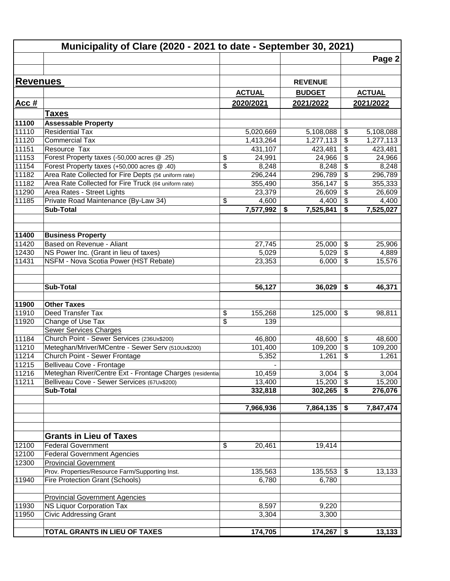|                 | Municipality of Clare (2020 - 2021 to date - September 30, 2021) |                 |           |                 |                           |               |
|-----------------|------------------------------------------------------------------|-----------------|-----------|-----------------|---------------------------|---------------|
|                 |                                                                  |                 |           |                 |                           | Page 2        |
|                 |                                                                  |                 |           |                 |                           |               |
| <b>Revenues</b> |                                                                  |                 |           | <b>REVENUE</b>  |                           |               |
|                 |                                                                  | <b>ACTUAL</b>   |           | <b>BUDGET</b>   |                           | <b>ACTUAL</b> |
| <u>Acc #</u>    |                                                                  | 2020/2021       |           | 2021/2022       |                           | 2021/2022     |
|                 | <b>Taxes</b>                                                     |                 |           |                 |                           |               |
| 11100           | <b>Assessable Property</b>                                       |                 |           |                 |                           |               |
| 11110           | <b>Residential Tax</b>                                           |                 | 5,020,669 | 5,108,088       | \$                        | 5,108,088     |
| 11120           | <b>Commercial Tax</b>                                            |                 | 1,413,264 | 1,277,113       | \$                        | 1,277,113     |
| 11151           | Resource Tax                                                     |                 | 431,107   | 423,481         | \$                        | 423,481       |
| 11153           | Forest Property taxes (-50,000 acres @ .25)                      | \$              | 24,991    | 24,966          | \$                        | 24,966        |
| 11154           | Forest Property taxes (+50,000 acres @ .40)                      | $\overline{\$}$ | 8,248     | 8,248           | $\overline{\mathcal{E}}$  | 8,248         |
| 11182           | Area Rate Collected for Fire Depts (5¢ uniform rate)             |                 | 296,244   | 296,789         | \$                        | 296,789       |
| 11182           | Area Rate Collected for Fire Truck (6¢ uniform rate)             |                 | 355,490   | 356,147         | \$                        | 355,333       |
| 11290           | Area Rates - Street Lights                                       |                 | 23,379    | 26,609          | \$                        | 26,609        |
| 11185           | Private Road Maintenance (By-Law 34)                             | \$              | 4,600     | 4,400           | \$                        | 4,400         |
|                 | <b>Sub-Total</b>                                                 |                 | 7,577,992 | 7,525,841<br>\$ | \$                        | 7,525,027     |
|                 |                                                                  |                 |           |                 |                           |               |
| 11400           | <b>Business Property</b>                                         |                 |           |                 |                           |               |
| 11420           | Based on Revenue - Aliant                                        |                 | 27,745    | 25,000          | \$                        | 25,906        |
| 12430           | NS Power Inc. (Grant in lieu of taxes)                           |                 | 5,029     | 5,029           | $\overline{\mathbf{e}}$   | 4,889         |
| 11431           | NSFM - Nova Scotia Power (HST Rebate)                            |                 | 23,353    | 6,000           | $\overline{\$}$           | 15,576        |
|                 | <b>Sub-Total</b>                                                 |                 | 56,127    | 36,029          | \$                        | 46,371        |
|                 |                                                                  |                 |           |                 |                           |               |
| 11900           | <b>Other Taxes</b>                                               |                 |           |                 |                           |               |
| 11910           | Deed Transfer Tax                                                | \$              | 155,268   | 125,000         | \$                        | 98,811        |
| 11920           | Change of Use Tax                                                | \$              | 139       |                 |                           |               |
|                 | <b>Sewer Services Charges</b>                                    |                 |           |                 |                           |               |
| 11184           | Church Point - Sewer Services (236Ux\$200)                       |                 | 46,800    | 48,600          | \$                        | 48,600        |
| 11210           | Meteghan/Mriver/MCentre - Sewer Serv (510Ux\$200)                |                 | 101,400   | 109,200         | $\overline{\mathbf{e}}$   | 109,200       |
| 11214           | Church Point - Sewer Frontage                                    |                 | 5,352     | 1,261           | \$                        | 1,261         |
| 11215           | Belliveau Cove - Frontage                                        |                 |           |                 |                           |               |
| 11216           | Meteghan River/Centre Ext - Frontage Charges (residentia         |                 | 10,459    | 3,004           | $\boldsymbol{\mathsf{S}}$ | 3,004         |
| 11211           | Belliveau Cove - Sewer Services (67Ux\$200)                      |                 | 13,400    | 15,200          | $\boldsymbol{\mathsf{S}}$ | 15,200        |
|                 | <b>Sub-Total</b>                                                 |                 | 332,818   | 302,265         | \$                        | 276,076       |
|                 |                                                                  |                 | 7,966,936 | 7,864,135       | \$                        | 7,847,474     |
|                 |                                                                  |                 |           |                 |                           |               |
|                 | <b>Grants in Lieu of Taxes</b>                                   |                 |           |                 |                           |               |
| 12100           | <b>Federal Government</b>                                        | \$              | 20,461    | 19,414          |                           |               |
| 12100           | <b>Federal Government Agencies</b>                               |                 |           |                 |                           |               |
| 12300           | <b>Provincial Government</b>                                     |                 |           |                 |                           |               |
|                 | Prov. Properties/Resource Farm/Supporting Inst.                  |                 | 135,563   | 135,553         | \$                        | 13,133        |
| 11940           | Fire Protection Grant (Schools)                                  |                 | 6,780     | 6,780           |                           |               |
|                 |                                                                  |                 |           |                 |                           |               |
|                 | <b>Provincial Government Agencies</b>                            |                 |           |                 |                           |               |
| 11930           | NS Liquor Corporation Tax                                        |                 | 8,597     | 9,220           |                           |               |
| 11950           | <b>Civic Addressing Grant</b>                                    |                 | 3,304     | 3,300           |                           |               |
|                 | <b>TOTAL GRANTS IN LIEU OF TAXES</b>                             |                 | 174,705   | 174,267         | \$                        | 13,133        |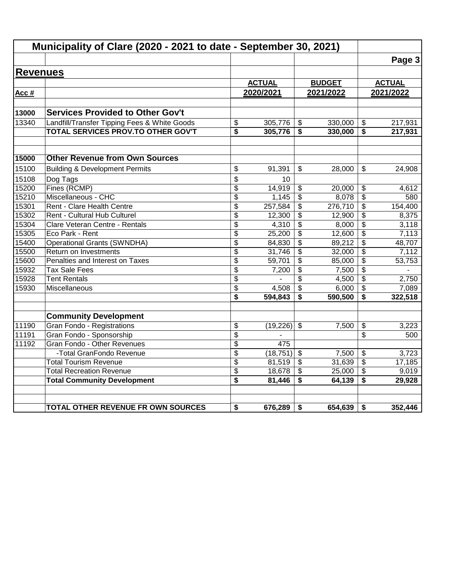|                 | Municipality of Clare (2020 - 2021 to date - September 30, 2021) |                 |               |                           |               |                                      |               |
|-----------------|------------------------------------------------------------------|-----------------|---------------|---------------------------|---------------|--------------------------------------|---------------|
|                 |                                                                  |                 |               |                           |               |                                      | Page 3        |
| <b>Revenues</b> |                                                                  |                 |               |                           |               |                                      |               |
|                 |                                                                  |                 | <b>ACTUAL</b> |                           | <b>BUDGET</b> |                                      | <b>ACTUAL</b> |
| Acc #           |                                                                  |                 | 2020/2021     |                           | 2021/2022     |                                      | 2021/2022     |
|                 |                                                                  |                 |               |                           |               |                                      |               |
| 13000           | <b>Services Provided to Other Gov't</b>                          |                 |               |                           |               |                                      |               |
| 13340           | Landfill/Transfer Tipping Fees & White Goods                     | \$              | 305,776       | \$                        | 330,000       | \$                                   | 217,931       |
|                 | TOTAL SERVICES PROV.TO OTHER GOV'T                               | \$              | 305,776       | \$                        | 330,000       | \$                                   | 217,931       |
| 15000           | <b>Other Revenue from Own Sources</b>                            |                 |               |                           |               |                                      |               |
| 15100           | <b>Building &amp; Development Permits</b>                        | \$              | 91,391        | \$                        | 28,000        | $\mathbb{S}$                         | 24,908        |
| 15108           | Dog Tags                                                         | \$              | 10            |                           |               |                                      |               |
| 15200           | Fines (RCMP)                                                     | \$              | 14,919        | \$                        | 20,000        | \$                                   | 4,612         |
| 15210           | Miscellaneous - CHC                                              | $\overline{\$}$ | 1,145         | $\overline{\mathfrak{s}}$ | 8,078         | $\overline{\$}$                      | 580           |
| 15301           | Rent - Clare Health Centre                                       | \$              | 257,584       | $\overline{\mathbf{e}}$   | 276,710       | \$                                   | 154,400       |
| 15302           | Rent - Cultural Hub Culturel                                     | \$              | 12,300        | \$                        | 12,900        | \$                                   | 8,375         |
| 15304           | Clare Veteran Centre - Rentals                                   | \$              | 4,310         | $\overline{\mathbf{3}}$   | 8,000         | $\overline{\boldsymbol{\mathsf{s}}}$ | 3,118         |
| 15305           | Eco Park - Rent                                                  | \$              | 25,200        | \$                        | 12,600        | $\overline{\mathcal{S}}$             | 7,113         |
| 15400           | <b>Operational Grants (SWNDHA)</b>                               | \$              | 84,830        | $\overline{\mathbf{3}}$   | 89,212        | \$                                   | 48,707        |
| 15500           | Return on Investments                                            | $\overline{\$}$ | 31,746        | $\overline{\mathbf{3}}$   | 32,000        | $\overline{\boldsymbol{\mathsf{s}}}$ | 7,112         |
| 15600           | Penalties and Interest on Taxes                                  | \$              | 59,701        | \$                        | 85,000        | \$                                   | 53,753        |
| 15932           | <b>Tax Sale Fees</b>                                             | \$              | 7,200         | \$                        | 7,500         | $\frac{1}{2}$                        |               |
| 15928           | <b>Tent Rentals</b>                                              | \$              |               | \$                        | 4,500         | \$                                   | 2,750         |
| 15930           | Miscellaneous                                                    | \$              | 4,508         | $\overline{\mathbf{3}}$   | 6,000         | \$                                   | 7,089         |
|                 |                                                                  | \$              | 594,843       | \$                        | 590,500       | \$                                   | 322,518       |
|                 | <b>Community Development</b>                                     |                 |               |                           |               |                                      |               |
| 11190           | Gran Fondo - Registrations                                       | \$              | (19,226)      | $\boldsymbol{\mathsf{S}}$ | 7,500         | \$                                   | 3,223         |
| 11191           | Gran Fondo - Sponsorship                                         | \$              |               |                           |               | \$                                   | 500           |
| 11192           | Gran Fondo - Other Revenues                                      | \$              | 475           |                           |               |                                      |               |
|                 | -Total GranFondo Revenue                                         | \$              | (18, 751)     | $\overline{\mathbf{s}}$   | 7,500         | \$                                   | 3,723         |
|                 | <b>Total Tourism Revenue</b>                                     | \$              | 81,519        | \$                        | 31,639        | \$                                   | 17,185        |
|                 | <b>Total Recreation Revenue</b>                                  | \$              | 18,678        | \$                        | 25,000        | $\overline{\mathbf{e}}$              | 9,019         |
|                 | <b>Total Community Development</b>                               | \$              | 81,446        | \$                        | 64,139        | \$                                   | 29,928        |
|                 | <b>TOTAL OTHER REVENUE FR OWN SOURCES</b>                        | \$              | 676,289       | \$                        | 654,639       | \$                                   | 352,446       |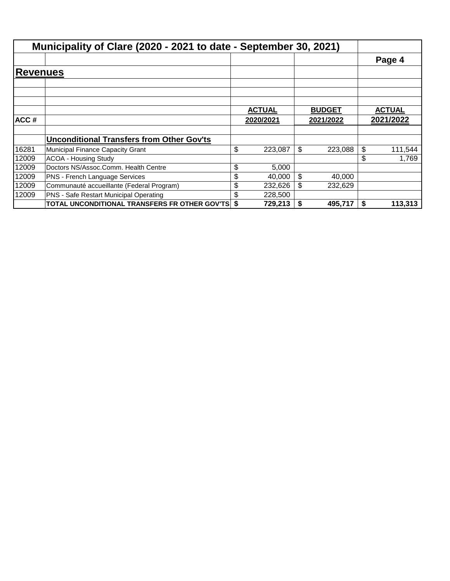|       | Municipality of Clare (2020 - 2021 to date - September 30, 2021)                                                                                                                                                                                                                                               |               |               |               |
|-------|----------------------------------------------------------------------------------------------------------------------------------------------------------------------------------------------------------------------------------------------------------------------------------------------------------------|---------------|---------------|---------------|
|       |                                                                                                                                                                                                                                                                                                                |               |               | Page 4        |
|       | <b>Revenues</b><br><b>Unconditional Transfers from Other Gov'ts</b><br>Municipal Finance Capacity Grant<br><b>ACOA - Housing Study</b><br>Doctors NS/Assoc.Comm. Health Centre<br><b>PNS - French Language Services</b><br>Communauté accueillante (Federal Program)<br>PNS - Safe Restart Municipal Operating |               |               |               |
|       |                                                                                                                                                                                                                                                                                                                |               |               |               |
|       |                                                                                                                                                                                                                                                                                                                |               |               |               |
|       |                                                                                                                                                                                                                                                                                                                | <b>ACTUAL</b> | <b>BUDGET</b> | <b>ACTUAL</b> |
| ACC#  |                                                                                                                                                                                                                                                                                                                | 2020/2021     | 2021/2022     | 2021/2022     |
|       |                                                                                                                                                                                                                                                                                                                |               |               |               |
|       |                                                                                                                                                                                                                                                                                                                |               |               |               |
| 16281 |                                                                                                                                                                                                                                                                                                                | \$<br>223,087 | \$<br>223,088 | \$<br>111,544 |
| 12009 |                                                                                                                                                                                                                                                                                                                |               |               | \$<br>1,769   |
| 12009 |                                                                                                                                                                                                                                                                                                                | \$<br>5,000   |               |               |
| 12009 |                                                                                                                                                                                                                                                                                                                | \$<br>40,000  | \$<br>40,000  |               |
| 12009 |                                                                                                                                                                                                                                                                                                                | \$<br>232,626 | \$<br>232,629 |               |
| 12009 |                                                                                                                                                                                                                                                                                                                | \$<br>228,500 |               |               |
|       | TOTAL UNCONDITIONAL TRANSFERS FR OTHER GOV'TS \$                                                                                                                                                                                                                                                               | 729,213       | \$<br>495,717 | \$<br>113,313 |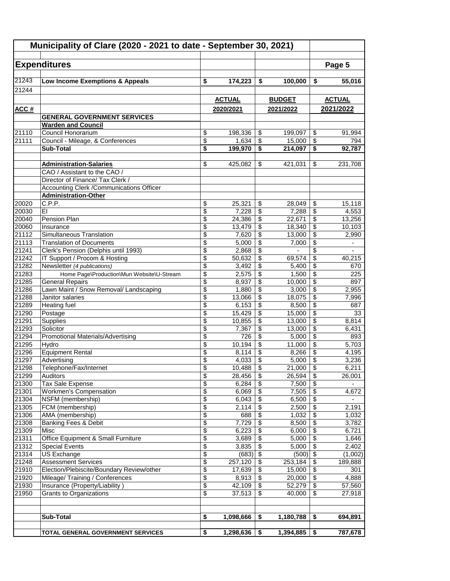|                | Municipality of Clare (2020 - 2021 to date - September 30, 2021)      |                          |                 |                         |                 |                                            |                          |
|----------------|-----------------------------------------------------------------------|--------------------------|-----------------|-------------------------|-----------------|--------------------------------------------|--------------------------|
|                | <b>Expenditures</b>                                                   |                          |                 |                         |                 |                                            | Page 5                   |
| 21243          | Low Income Exemptions & Appeals                                       | \$                       | 174,223         | \$                      | 100,000         | \$                                         | 55,016                   |
| 21244          |                                                                       |                          |                 |                         |                 |                                            |                          |
|                |                                                                       |                          | <b>ACTUAL</b>   |                         | <b>BUDGET</b>   |                                            | <b>ACTUAL</b>            |
| ACC #          | <b>GENERAL GOVERNMENT SERVICES</b>                                    |                          | 2020/2021       |                         | 2021/2022       |                                            | 2021/2022                |
|                | <b>Warden and Council</b>                                             |                          |                 |                         |                 |                                            |                          |
| 21110          | Council Honorarium                                                    | \$                       | 198,336         | \$                      | 199,097         | \$                                         | 91,994                   |
| 21111          | Council - Mileage, & Conferences                                      | $\overline{\$}$          | 1,634           | \$                      | 15,000          | $\overline{\$}$                            | 794                      |
|                | <b>Sub-Total</b>                                                      | \$                       | 199,970         | \$                      | 214,097         | \$                                         | 92,787                   |
|                |                                                                       |                          |                 |                         |                 |                                            |                          |
|                | <b>Administration-Salaries</b>                                        | \$                       | 425,082         | \$                      | 421,031         | \$                                         | 231,708                  |
|                | CAO / Assistant to the CAO /                                          |                          |                 |                         |                 |                                            |                          |
|                | Director of Finance/ Tax Clerk /                                      |                          |                 |                         |                 |                                            |                          |
|                | Accounting Clerk / Communications Officer                             |                          |                 |                         |                 |                                            |                          |
|                | <b>Administration-Other</b>                                           |                          |                 |                         |                 |                                            |                          |
| 20020          | C.P.P.                                                                | \$                       | 25,321          | \$                      | 28,049          | \$                                         | 15,118                   |
| 20030          | EI                                                                    | $\overline{\$}$          | 7,228           | $\overline{\mathbf{s}}$ | 7,288           | $\overline{\$}$                            | 4,553                    |
| 20040          | Pension Plan                                                          | \$                       | 24,386          | \$                      | 22,671          | \$                                         | 13,256                   |
| 20060          | Insurance                                                             | \$                       | 13,479          | \$                      | 18.340          | $\overline{\boldsymbol{\theta}}$           | 10,103                   |
| 21112          | Simultaneous Translation                                              | \$                       | 7,620           | \$                      | 13,000          | $\sqrt{2}$                                 | 2,990                    |
| 21113          | <b>Translation of Documents</b>                                       | \$                       | 5,000           | \$                      | 7,000           | $\overline{\$}$                            | $\overline{\phantom{a}}$ |
| 21241<br>21242 | Clerk's Pension (Delphis until 1993)<br>IT Support / Procom & Hosting | \$<br>\$                 | 2,868<br>50,632 | \$<br>\$                |                 | \$<br>$\overline{\boldsymbol{\theta}}$     |                          |
| 21282          | Newsletter (4 publications)                                           | \$                       | 3,492           | \$                      | 69,574<br>5,400 | $\overline{\mathbf{S}}$                    | 40,215<br>670            |
| 21283          | Home Page\Production\Mun Website\U-Stream                             | \$                       | 2,575           | \$                      | 1,500           | \$                                         | 225                      |
| 21285          | <b>General Repairs</b>                                                | \$                       | 8,937           | \$                      | 10,000          | $\overline{\$}$                            | 897                      |
| 21286          | Lawn Maint / Snow Removal/ Landscaping                                | \$                       | 1,880           | \$                      | 3,000           | $\overline{\mathcal{E}}$                   | 2,955                    |
| 21288          | Janitor salaries                                                      | \$                       | 13,066          | \$                      | 18,075          | \$                                         | 7,996                    |
| 21289          | <b>Heating fuel</b>                                                   | \$                       | 6,153           | \$                      | 8,500           | \$                                         | 687                      |
| 21290          | Postage                                                               | \$                       | 15,429          | \$                      | 15,000          | \$                                         | 33                       |
| 21291          | Supplies                                                              | $\overline{\$}$          | 10,855          | \$                      | 13,000          | $\overline{\$}$                            | 8,814                    |
| 21293          | Solicitor                                                             | \$                       | 7,367           | \$                      | 13,000          | $\overline{\boldsymbol{\theta}}$           | 6,431                    |
| 21294          | <b>Promotional Materials/Advertising</b>                              | \$                       | 726             | \$                      | 5,000           | $\overline{\$}$                            | 893                      |
| 21295          | Hvdro                                                                 | \$                       | 10,194          | \$                      | 11,000          | $\overline{\mathbf{s}}$                    | 5,703                    |
| 21296          | <b>Equipment Rental</b>                                               | $\overline{\$}$          | 8,114           | \$                      | 8,266           | $\overline{\$}$                            | 4,195                    |
| 21297          | Advertising                                                           | \$                       | 4,033           | \$                      | 5,000           | $\overline{\$}$                            | 3,236                    |
| 21298          | Telephone/Fax/Internet                                                | $\overline{\$}$          | 10,488          | \$                      | 21,000          | $\overline{\$}$                            | 6,211                    |
| 21299          | Auditors                                                              | $\overline{\mathcal{E}}$ | 28,456          | $\sqrt[6]{\frac{1}{2}}$ | 26,594          | $\sqrt[6]{\frac{1}{2}}$                    | 26,001                   |
| 21300          | Tax Sale Expense                                                      | \$                       | 6,284           | \$                      | 7,500           | \$                                         | $\sim$                   |
| 21301          | <b>Workmen's Compensation</b>                                         | \$                       | 6,069           | \$                      | 7,505           | $\overline{\mathbf{S}}$                    | 4,672                    |
| 21304          | NSFM (membership)                                                     | \$                       | 6,043           | \$                      | 6,500           | \$                                         | $\blacksquare$           |
| 21305          | FCM (membership)                                                      | \$                       | 2,114           | \$                      | 2,500           | $\overline{\mathbf{e}}$                    | 2,191                    |
| 21306          | AMA (membership)                                                      | \$                       | 688             | \$                      | 1,032           | \$                                         | 1,032                    |
| 21308          | Banking Fees & Debit                                                  | \$                       | 7,729           | $\sqrt[6]{\frac{1}{2}}$ | 8,500           | $\overline{\boldsymbol{\theta}}$           | 3,782                    |
| 21309<br>21311 | Misc<br>Office Equipment & Small Furniture                            | \$<br>\$                 | 6,223<br>3,689  | \$<br>\$                | 6,000           | $\overline{\$}$<br>$\overline{\mathbf{3}}$ | 6,721<br>1,646           |
| 21312          | <b>Special Events</b>                                                 | \$                       | 3,835           | \$                      | 5,000<br>5,000  | $\sqrt{3}$                                 | 2,402                    |
| 21314          | US Exchange                                                           | \$                       | (683)           | \$                      | $(500)$ \$      |                                            | (1,002)                  |
| 21248          | <b>Assessment Services</b>                                            | \$                       | 257,120         | \$                      | 253,184         | $\sqrt[6]{3}$                              | 189,888                  |
| 21910          | Election/Plebiscite/Boundary Review/other                             | \$                       | 17,639          | \$                      | 15,000          | \$                                         | 301                      |
| 21920          | Mileage/ Training / Conferences                                       | \$                       | 8,913           | \$                      | 20,000          | $\sqrt{3}$                                 | 4,888                    |
| 21930          | Insurance (Property/Liability)                                        | \$                       | 42,109          | \$                      | 52,279          | \$                                         | 57,560                   |
| 21950          | Grants to Organizations                                               | $\overline{\mathcal{S}}$ | 37,513          | \$                      | 40,000          | \$                                         | 27,918                   |
|                |                                                                       |                          |                 |                         |                 |                                            |                          |
|                |                                                                       |                          |                 |                         |                 |                                            |                          |
|                | Sub-Total                                                             | \$                       | 1,098,666       | \$                      | 1,180,788       | \$                                         | 694,891                  |
|                | TOTAL GENERAL GOVERNMENT SERVICES                                     | \$                       | 1,298,636       | \$                      | 1,394,885       | \$                                         | 787,678                  |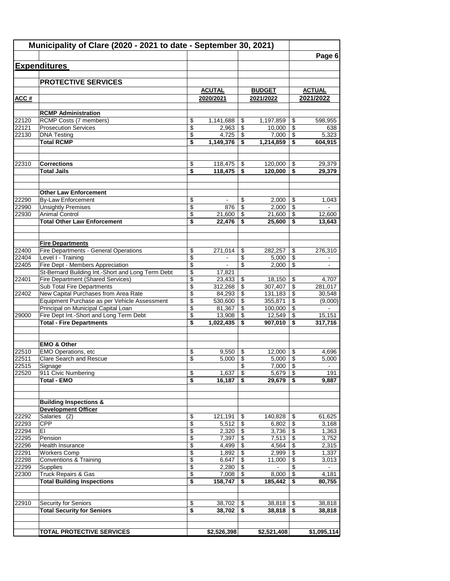|                | Municipality of Clare (2020 - 2021 to date - September 30, 2021)                    |                          |                   |          |                    |                                  |                       |
|----------------|-------------------------------------------------------------------------------------|--------------------------|-------------------|----------|--------------------|----------------------------------|-----------------------|
|                |                                                                                     |                          |                   |          |                    |                                  | Page 6                |
|                | <b>Expenditures</b>                                                                 |                          |                   |          |                    |                                  |                       |
|                | <b>PROTECTIVE SERVICES</b>                                                          |                          |                   |          |                    |                                  |                       |
|                |                                                                                     |                          | <b>ACUTAL</b>     |          | <b>BUDGET</b>      |                                  | <b>ACTUAL</b>         |
| ACC#           |                                                                                     |                          | 2020/2021         |          | 2021/2022          |                                  | 2021/2022             |
|                | <b>RCMP Administration</b>                                                          |                          |                   |          |                    |                                  |                       |
| 22120          | RCMP Costs (7 members)                                                              | \$                       | 1,141,688         | \$       | 1,197,859          | \$                               | 598,955               |
| 22121          | <b>Prosecution Services</b>                                                         | $\overline{\mathcal{L}}$ | 2,963             | \$       | 10,000             | $\overline{\mathcal{S}}$         | 638                   |
| 22130          | <b>DNA Testing</b>                                                                  | $\overline{\$}$          | 4,725             | \$       | 7,000              | $\overline{\$}$                  | 5,323                 |
|                | <b>Total RCMP</b>                                                                   | \$                       | 1,149,376         | \$       | 1,214,859          | \$                               | 604,915               |
| 22310          | <b>Corrections</b>                                                                  | \$                       | 118,475           |          | 120,000            |                                  | 29,379                |
|                | <b>Total Jails</b>                                                                  | \$                       | 118,475           | \$<br>\$ | 120,000            | \$<br>\$                         | 29,379                |
|                |                                                                                     |                          |                   |          |                    |                                  |                       |
|                | <b>Other Law Enforcement</b>                                                        |                          |                   |          |                    |                                  |                       |
| 22290          | <b>By-Law Enforcement</b>                                                           | \$                       | $\blacksquare$    | \$       | 2,000              | \$                               | 1,043                 |
| 22990          | <b>Unsightly Premises</b>                                                           | \$                       | 876               | \$       | 2,000              | \$                               |                       |
| 22930          | <b>Animal Control</b>                                                               | \$                       | 21,600            | \$       | 21,600             | \$                               | 12,600                |
|                | <b>Total Other Law Enforcement</b>                                                  | \$                       | 22,476            | \$       | 25,600             | \$                               | 13,643                |
|                | <b>Fire Departments</b>                                                             |                          |                   |          |                    |                                  |                       |
| 22400          | Fire Departments - General Operations                                               | \$                       | 271,014           | \$       | 282.257            | \$                               | 276,310               |
| 22404          | Level I - Training                                                                  | \$                       | $\blacksquare$    | \$       | 5,000              | \$                               | $\blacksquare$        |
| 22405          | Fire Dept - Members Appreciation                                                    | \$                       | $\blacksquare$    | \$       | 2,000              | \$                               | $\mathbf{r}$          |
|                | St-Bernard Building Int.-Short and Long Term Debt                                   | \$                       | 17,821            |          |                    |                                  |                       |
| 22401          | <b>Fire Department (Shared Services)</b>                                            | \$                       | 23,433            | \$       | 18,150             | \$                               | 4,707                 |
|                | Sub Total Fire Departments                                                          | \$                       | 312,268           | \$       | 307,407            | \$                               | 281,017               |
| 22402          | New Capital Purchases from Area Rate                                                | \$                       | 84,293            | \$       | 131,183            | \$                               | 30,548                |
|                | Equipment Purchase as per Vehicle Assessment<br>Principal on Municipal Capital Loan | \$<br>\$                 | 530,600<br>81,367 | \$<br>\$ | 355,871<br>100,000 | \$<br>\$                         | (9,000)               |
| 29000          | Fire Dept Int.-Short and Long Term Debt                                             | \$                       | 13,908            | \$       | 12,549             | \$                               | 15,151                |
|                | <b>Total - Fire Departments</b>                                                     | \$                       | 1,022,435         | \$       | 907,010            | \$                               | 317,716               |
|                |                                                                                     |                          |                   |          |                    |                                  |                       |
|                | <b>EMO &amp; Other</b>                                                              |                          |                   |          |                    |                                  |                       |
| 22510          | EMO Operations, etc                                                                 | \$                       | 9.550             | \$       | 12.000             | \$                               | 4,696                 |
| 22511          | Clare Search and Rescue                                                             | \$                       | 5,000             | \$<br>\$ | 5,000              | \$<br>$\overline{\mathcal{S}}$   | 5.000                 |
| 22515<br>22520 | Signage<br>911 Civic Numbering                                                      | \$                       | 1,637             | \$       | 7,000              |                                  | $\blacksquare$<br>191 |
|                | <b>Total - EMO</b>                                                                  | $\overline{\$}$          | 16,187            | \$       | 29,679             | \$                               | 9,887                 |
|                |                                                                                     |                          |                   |          |                    |                                  |                       |
|                | <b>Building Inspections &amp;</b>                                                   |                          |                   |          |                    |                                  |                       |
| 22292          | <b>Development Officer</b>                                                          |                          |                   |          | 140,828            |                                  |                       |
| 22293          | Salaries (2)<br><b>CPP</b>                                                          | \$<br>\$                 | 121,191<br>5,512  | \$<br>\$ | 6,802              | \$<br>\$                         | 61,625<br>3,168       |
| 22294          | ΕI                                                                                  | \$                       | 2,320             | \$       | 3,736              | $\overline{\$}$                  | 1,363                 |
| 22295          | Pension                                                                             | \$                       | 7,397             | \$       | 7,513              | \$                               | 3,752                 |
| 22296          | Health Insurance                                                                    | \$                       | 4,499             | \$       | 4,564              | \$                               | 2,315                 |
| 22291          | <b>Workers Comp</b>                                                                 | \$                       | 1,892             | \$       | 2,999              | $\sqrt[6]{3}$                    | 1,337                 |
| 22298          | Conventions & Training                                                              | \$                       | 6,647             | \$       | 11,000             | $\overline{\mathcal{E}}$         | 3,013                 |
| 22299          | Supplies                                                                            | \$                       | 2,280             | \$       | $\sim$             | $\overline{\boldsymbol{\theta}}$ | $\sim$                |
| 22300          | <b>Truck Repairs &amp; Gas</b>                                                      | \$                       | 7,008             | \$       | 8,000              | $\overline{\boldsymbol{\theta}}$ | 4,181                 |
|                | <b>Total Building Inspections</b>                                                   | \$                       | 158,747           | \$       | 185,442            | \$                               | 80,755                |
| 22910          | Security for Seniors                                                                | \$                       | 38,702            | \$       | 38,818             | \$                               | 38,818                |
|                | <b>Total Security for Seniors</b>                                                   | \$                       | 38,702            | \$       | 38,818             | \$                               | 38,818                |
|                |                                                                                     |                          |                   |          |                    |                                  |                       |
|                | <b>TOTAL PROTECTIVE SERVICES</b>                                                    |                          | \$2,526,398       |          | \$2,521,408        |                                  | \$1,095,114           |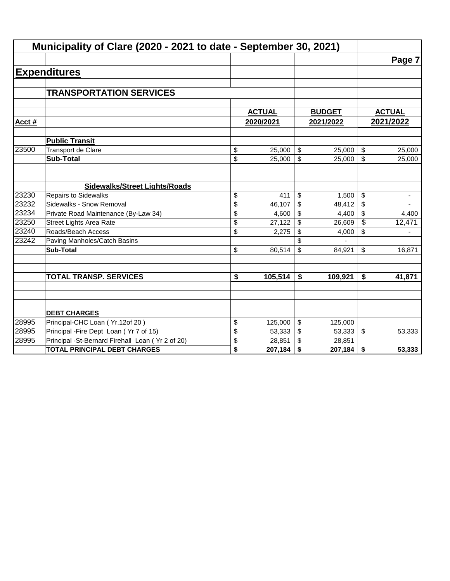|        | Municipality of Clare (2020 - 2021 to date - September 30, 2021) |               |              |               |                          |                          |
|--------|------------------------------------------------------------------|---------------|--------------|---------------|--------------------------|--------------------------|
|        |                                                                  |               |              |               |                          | Page 7                   |
|        | <b>Expenditures</b>                                              |               |              |               |                          |                          |
|        |                                                                  |               |              |               |                          |                          |
|        | <b>TRANSPORTATION SERVICES</b>                                   |               |              |               |                          |                          |
|        |                                                                  |               |              |               |                          |                          |
|        |                                                                  | <b>ACTUAL</b> |              | <b>BUDGET</b> |                          | <b>ACTUAL</b>            |
| Acct # |                                                                  | 2020/2021     |              | 2021/2022     |                          | 2021/2022                |
|        | <b>Public Transit</b>                                            |               |              |               |                          |                          |
| 23500  | Transport de Clare                                               | \$<br>25,000  | \$           | 25,000        | \$                       | 25,000                   |
|        | <b>Sub-Total</b>                                                 | \$<br>25,000  | $\mathbb{S}$ | 25,000        | \$                       | 25,000                   |
|        |                                                                  |               |              |               |                          |                          |
|        | <b>Sidewalks/Street Lights/Roads</b>                             |               |              |               |                          |                          |
| 23230  | <b>Repairs to Sidewalks</b>                                      | \$<br>411     | \$           | 1,500         | \$                       | $\overline{\phantom{a}}$ |
| 23232  | Sidewalks - Snow Removal                                         | \$<br>46,107  | \$           | 48,412        | \$                       |                          |
| 23234  | Private Road Maintenance (By-Law 34)                             | \$<br>4,600   | \$           | 4,400         | \$                       | 4,400                    |
| 23250  | <b>Street Lights Area Rate</b>                                   | \$<br>27,122  | \$           | 26,609        | $\overline{\mathcal{S}}$ | 12,471                   |
| 23240  | Roads/Beach Access                                               | \$<br>2,275   | \$           | 4,000         | \$                       |                          |
| 23242  | Paving Manholes/Catch Basins                                     |               |              |               |                          |                          |
|        | <b>Sub-Total</b>                                                 | \$<br>80,514  | \$           | 84,921        | \$                       | 16,871                   |
|        |                                                                  |               |              |               |                          |                          |
|        | <b>TOTAL TRANSP. SERVICES</b>                                    | \$<br>105,514 | \$           | 109,921       | \$                       | 41,871                   |
|        |                                                                  |               |              |               |                          |                          |
|        |                                                                  |               |              |               |                          |                          |
|        | <b>DEBT CHARGES</b>                                              |               |              |               |                          |                          |
| 28995  | Principal-CHC Loan (Yr.12of 20)                                  | \$<br>125,000 | \$           | 125,000       |                          |                          |
| 28995  | Principal - Fire Dept Loan (Yr 7 of 15)                          | \$<br>53,333  | \$           | 53,333        | $\sqrt[6]{\frac{1}{2}}$  | 53,333                   |
| 28995  | Principal -St-Bernard Firehall Loan (Yr 2 of 20)                 | \$<br>28,851  | \$           | 28,851        |                          |                          |
|        | <b>TOTAL PRINCIPAL DEBT CHARGES</b>                              | \$<br>207,184 | \$           | 207,184       | \$                       | 53,333                   |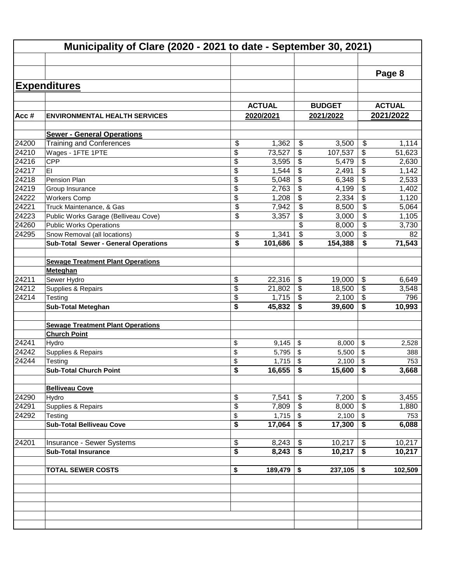|       | Municipality of Clare (2020 - 2021 to date - September 30, 2021) |               |                                      |               |                                      |               |
|-------|------------------------------------------------------------------|---------------|--------------------------------------|---------------|--------------------------------------|---------------|
|       |                                                                  |               |                                      |               |                                      |               |
|       |                                                                  |               |                                      |               |                                      | Page 8        |
|       | <b>Expenditures</b>                                              |               |                                      |               |                                      |               |
|       |                                                                  |               |                                      |               |                                      |               |
|       |                                                                  | <b>ACTUAL</b> |                                      | <b>BUDGET</b> |                                      | <b>ACTUAL</b> |
| Acc#  | <b>ENVIRONMENTAL HEALTH SERVICES</b>                             | 2020/2021     |                                      | 2021/2022     |                                      | 2021/2022     |
|       | <b>Sewer - General Operations</b>                                |               |                                      |               |                                      |               |
| 24200 | <b>Training and Conferences</b>                                  | \$<br>1,362   | \$                                   | 3,500         | \$                                   | 1,114         |
| 24210 | Wages - 1FTE 1PTE                                                | \$<br>73,527  | \$                                   | 107,537       | \$                                   | 51,623        |
| 24216 | <b>CPP</b>                                                       | \$<br>3,595   | \$                                   | 5,479         | \$                                   | 2,630         |
| 24217 | E1                                                               | \$<br>1,544   | \$                                   | 2,491         | \$                                   | 1,142         |
| 24218 | Pension Plan                                                     | \$<br>5,048   | \$                                   | 6,348         | \$                                   | 2,533         |
| 24219 | Group Insurance                                                  | \$<br>2,763   | \$                                   | 4,199         | \$                                   | 1,402         |
| 24222 | <b>Workers Comp</b>                                              | \$<br>1,208   | \$                                   | 2,334         | \$                                   | 1,120         |
| 24221 | Truck Maintenance, & Gas                                         | \$<br>7,942   | $\overline{\mathbf{s}}$              | 8,500         | \$                                   | 5,064         |
| 24223 | Public Works Garage (Belliveau Cove)                             | \$<br>3,357   | \$                                   | 3,000         | \$                                   | 1,105         |
| 24260 | <b>Public Works Operations</b>                                   |               | \$                                   | 8,000         | \$                                   | 3,730         |
| 24295 | Snow Removal (all locations)                                     | \$<br>1,341   | $\boldsymbol{\mathsf{S}}$            | 3,000         | \$                                   | 82            |
|       | <b>Sub-Total Sewer - General Operations</b>                      | \$<br>101,686 | \$                                   | 154,388       | \$                                   | 71,543        |
|       |                                                                  |               |                                      |               |                                      |               |
|       | <b>Sewage Treatment Plant Operations</b>                         |               |                                      |               |                                      |               |
|       | Meteghan                                                         |               |                                      |               |                                      |               |
| 24211 | Sewer Hydro                                                      | \$<br>22,316  | \$                                   | 19,000        | \$                                   | 6,649         |
| 24212 | Supplies & Repairs                                               | \$<br>21,802  | \$                                   | 18,500        | $\overline{\$}$                      | 3,548         |
| 24214 | Testing                                                          | \$<br>1,715   | $\boldsymbol{\mathsf{S}}$            | 2,100         | $\overline{\$}$                      | 796           |
|       | <b>Sub-Total Meteghan</b>                                        | \$<br>45,832  | \$                                   | 39,600        | \$                                   | 10,993        |
|       |                                                                  |               |                                      |               |                                      |               |
|       | <b>Sewage Treatment Plant Operations</b>                         |               |                                      |               |                                      |               |
|       | <b>Church Point</b>                                              |               |                                      |               |                                      |               |
| 24241 | Hydro                                                            | \$<br>9,145   | \$                                   | 8,000         | \$                                   | 2,528         |
| 24242 | Supplies & Repairs                                               | \$<br>5,795   | \$                                   | 5,500         | \$                                   | 388           |
| 24244 | Testing                                                          | \$<br>1,715   | \$                                   | 2,100         | \$                                   | 753           |
|       | <b>Sub-Total Church Point</b>                                    | \$<br>16,655  | $\overline{\boldsymbol{\mathsf{s}}}$ | 15,600        | $\overline{\boldsymbol{\mathsf{s}}}$ | 3,668         |
|       |                                                                  |               |                                      |               |                                      |               |
|       | <b>Belliveau Cove</b>                                            |               |                                      |               |                                      |               |
| 24290 | Hydro                                                            | \$<br>7,541   | \$                                   | 7,200         | \$                                   | 3,455         |
| 24291 | Supplies & Repairs                                               | \$<br>7,809   | \$                                   | 8,000         | \$                                   | 1,880         |
| 24292 | Testing                                                          | \$<br>1,715   | \$                                   | 2,100         | \$                                   | 753           |
|       | <b>Sub-Total Belliveau Cove</b>                                  | \$<br>17,064  | \$                                   | 17,300        | \$                                   | 6,088         |
|       |                                                                  |               |                                      |               |                                      |               |
| 24201 | Insurance - Sewer Systems                                        | \$<br>8,243   | \$                                   | 10,217        | \$                                   | 10,217        |
|       | <b>Sub-Total Insurance</b>                                       | \$<br>8,243   | \$                                   | 10,217        | \$                                   | 10,217        |
|       |                                                                  |               |                                      |               |                                      |               |
|       | <b>TOTAL SEWER COSTS</b>                                         | \$<br>189,479 | \$                                   | 237,105       | \$                                   | 102,509       |
|       |                                                                  |               |                                      |               |                                      |               |
|       |                                                                  |               |                                      |               |                                      |               |
|       |                                                                  |               |                                      |               |                                      |               |
|       |                                                                  |               |                                      |               |                                      |               |
|       |                                                                  |               |                                      |               |                                      |               |
|       |                                                                  |               |                                      |               |                                      |               |
|       |                                                                  |               |                                      |               |                                      |               |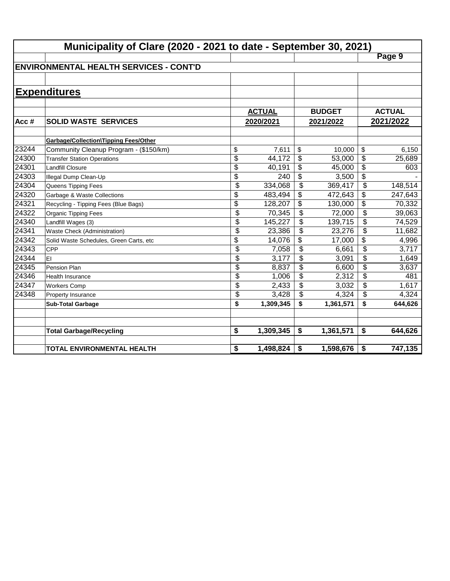|       | Municipality of Clare (2020 - 2021 to date - September 30, 2021) |                           |               |                          |               |                 |               |
|-------|------------------------------------------------------------------|---------------------------|---------------|--------------------------|---------------|-----------------|---------------|
|       |                                                                  |                           |               |                          |               |                 | Page 9        |
|       | <b>ENVIRONMENTAL HEALTH SERVICES - CONT'D</b>                    |                           |               |                          |               |                 |               |
|       |                                                                  |                           |               |                          |               |                 |               |
|       | <b>Expenditures</b>                                              |                           |               |                          |               |                 |               |
|       |                                                                  |                           |               |                          |               |                 |               |
|       |                                                                  |                           | <b>ACTUAL</b> |                          | <b>BUDGET</b> |                 | <b>ACTUAL</b> |
| Acc#  | <b>SOLID WASTE SERVICES</b>                                      |                           | 2020/2021     |                          | 2021/2022     |                 | 2021/2022     |
|       |                                                                  |                           |               |                          |               |                 |               |
|       | Garbage/Collection\Tipping Fees/Other                            |                           |               |                          |               |                 |               |
| 23244 | Community Cleanup Program - (\$150/km)                           | \$                        | 7,611         | \$                       | 10,000        | \$              | 6,150         |
| 24300 | <b>Transfer Station Operations</b>                               | $\overline{\$}$           | 44,172        | \$                       | 53,000        | \$              | 25,689        |
| 24301 | Landfill Closure                                                 | $\overline{\$}$           | 40,191        | \$                       | 45,000        | $\overline{\$}$ | 603           |
| 24303 | Illegal Dump Clean-Up                                            | $\overline{\$}$           | 240           | \$                       | 3,500         | $\overline{\$}$ |               |
| 24304 | Queens Tipping Fees                                              | $\overline{\$}$           | 334,068       | $\overline{\mathcal{S}}$ | 369,417       | $\overline{\$}$ | 148,514       |
| 24320 | Garbage & Waste Collections                                      | \$                        | 483,494       | \$                       | 472,643       | \$              | 247,643       |
| 24321 | Recycling - Tipping Fees (Blue Bags)                             | $\overline{\$}$           | 128,207       | \$                       | 130,000       | \$              | 70,332        |
| 24322 | Organic Tipping Fees                                             | $\overline{\$}$           | 70,345        | \$                       | 72,000        | \$              | 39,063        |
| 24340 | Landfill Wages (3)                                               | \$                        | 145,227       | \$                       | 139,715       | \$              | 74,529        |
| 24341 | Waste Check (Administration)                                     | \$                        | 23,386        | \$                       | 23,276        | \$              | 11,682        |
| 24342 | Solid Waste Schedules, Green Carts, etc                          | \$                        | 14,076        | \$                       | 17,000        | \$              | 4,996         |
| 24343 | <b>CPP</b>                                                       | \$                        | 7,058         | \$                       | 6,661         | \$              | 3,717         |
| 24344 | lEI                                                              | \$                        | 3,177         | \$                       | 3,091         | \$              | 1,649         |
| 24345 | Pension Plan                                                     | \$                        | 8,837         | \$                       | 6,600         | \$              | 3,637         |
| 24346 | Health Insurance                                                 | \$                        | 1,006         | \$                       | 2,312         | \$              | 481           |
| 24347 | <b>Workers Comp</b>                                              | \$                        | 2,433         | \$                       | 3,032         | \$              | 1,617         |
| 24348 | Property Insurance                                               | $\overline{\mathfrak{s}}$ | 3,428         | \$                       | 4,324         | \$              | 4,324         |
|       | <b>Sub-Total Garbage</b>                                         | \$                        | 1,309,345     | \$                       | 1,361,571     | \$              | 644,626       |
|       |                                                                  |                           |               |                          |               |                 |               |
|       | <b>Total Garbage/Recycling</b>                                   | \$                        | 1,309,345     | \$                       | 1,361,571     | \$              | 644,626       |
|       |                                                                  |                           |               |                          |               |                 |               |
|       | TOTAL ENVIRONMENTAL HEALTH                                       | \$                        | 1,498,824     | \$                       | 1,598,676     | \$              | 747,135       |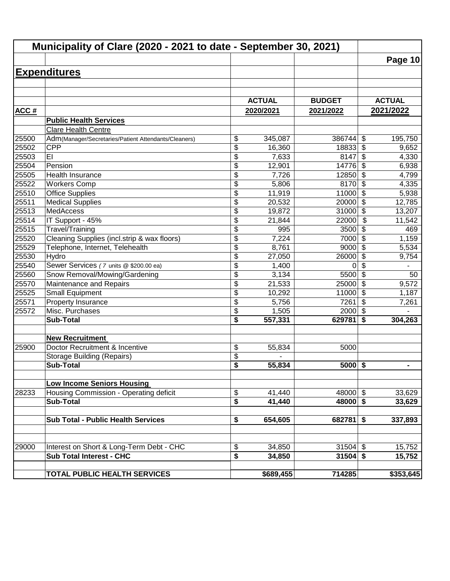|       | Municipality of Clare (2020 - 2021 to date - September 30, 2021) |                 |               |               |                                  |                |
|-------|------------------------------------------------------------------|-----------------|---------------|---------------|----------------------------------|----------------|
|       |                                                                  |                 |               |               |                                  | Page 10        |
|       | <b>Expenditures</b>                                              |                 |               |               |                                  |                |
|       |                                                                  |                 |               |               |                                  |                |
|       |                                                                  |                 |               |               |                                  |                |
|       |                                                                  |                 | <b>ACTUAL</b> | <b>BUDGET</b> |                                  | <b>ACTUAL</b>  |
| ACC#  |                                                                  |                 | 2020/2021     | 2021/2022     |                                  | 2021/2022      |
|       | <b>Public Health Services</b>                                    |                 |               |               |                                  |                |
|       | Clare Health Centre                                              |                 |               |               |                                  |                |
| 25500 | Adm(Manager/Secretaries/Patient Attendants/Cleaners)             | \$              | 345,087       | 386744        | \$                               | 195,750        |
| 25502 | <b>CPP</b>                                                       | \$              | 16,360        | 18833         | $\boldsymbol{\mathsf{S}}$        | 9,652          |
| 25503 | EI                                                               | \$              | 7,633         | 8147          | \$                               | 4,330          |
| 25504 | Pension                                                          | \$              | 12,901        | 14776         | \$                               | 6,938          |
| 25505 | Health Insurance                                                 | \$              | 7,726         | 12850         | $\overline{\boldsymbol{\theta}}$ | 4,799          |
| 25522 | <b>Workers Comp</b>                                              | \$              | 5,806         | 8170          | $\overline{\$}$                  | 4,335          |
| 25510 | <b>Office Supplies</b>                                           | $\overline{\$}$ | 11,919        | 11000         | $\overline{\$}$                  | 5,938          |
| 25511 | <b>Medical Supplies</b>                                          | $\overline{\$}$ | 20,532        | 20000         | $\overline{\$}$                  | 12,785         |
| 25513 | <b>MedAccess</b>                                                 | \$              | 19,872        | 31000         | $\overline{\$}$                  | 13,207         |
| 25514 | IT Support - 45%                                                 | \$              | 21,844        | 22000         | \$                               | 11,542         |
| 25515 | Travel/Training                                                  | \$              | 995           | 3500          | \$                               | 469            |
| 25520 | Cleaning Supplies (incl.strip & wax floors)                      | \$              | 7,224         | 7000          | \$                               | 1,159          |
| 25529 | Telephone, Internet, Telehealth                                  | \$              | 8,761         | 9000          | $\boldsymbol{\mathsf{S}}$        | 5,534          |
| 25530 | Hydro                                                            | $\overline{\$}$ | 27,050        | 26000         | $\boldsymbol{\mathsf{S}}$        | 9,754          |
| 25540 | Sewer Services (7 units @ \$200.00 ea)                           | \$              | 1,400         | 0             | $\overline{\mathcal{S}}$         |                |
| 25560 | Snow Removal/Mowing/Gardening                                    | \$              | 3,134         | 5500          | $\overline{\mathcal{S}}$         | 50             |
| 25570 | Maintenance and Repairs                                          | \$              | 21,533        | 25000         | $\overline{\mathcal{S}}$         | 9,572          |
| 25525 | <b>Small Equipment</b>                                           | \$              | 10,292        | 11000         | \$                               | 1,187          |
| 25571 | Property Insurance                                               | \$              | 5,756         | 7261          | \$                               | 7,261          |
| 25572 | Misc. Purchases                                                  | \$              | 1,505         | 2000          | $\sqrt{2}$                       |                |
|       | <b>Sub-Total</b>                                                 | \$              | 557,331       | 629781        | \$                               | 304,263        |
|       | <b>New Recruitment</b>                                           |                 |               |               |                                  |                |
| 25900 | Doctor Recruitment & Incentive                                   | \$              | 55,834        | 5000          |                                  |                |
|       | <b>Storage Building (Repairs)</b>                                | \$              |               |               |                                  |                |
|       | Sub-Total                                                        | \$              | 55,834        | $5000$ \$     |                                  | $\blacksquare$ |
|       |                                                                  |                 |               |               |                                  |                |
|       | <b>Low Income Seniors Housing</b>                                |                 |               |               |                                  |                |
| 28233 | Housing Commission - Operating deficit                           | \$              | 41,440        | 48000 \$      |                                  | 33,629         |
|       | <b>Sub-Total</b>                                                 | \$              | 41,440        | $48000$ \$    |                                  | 33,629         |
|       | <b>Sub Total - Public Health Services</b>                        | \$              | 654,605       | $682781$ \$   |                                  | 337,893        |
|       |                                                                  |                 |               |               |                                  |                |
|       |                                                                  |                 |               |               |                                  |                |
| 29000 | Interest on Short & Long-Term Debt - CHC                         | \$              | 34,850        | $31504$ \$    |                                  | 15,752         |
|       | <b>Sub Total Interest - CHC</b>                                  | \$              | 34,850        | $31504$ \$    |                                  | 15,752         |
|       | TOTAL PUBLIC HEALTH SERVICES                                     |                 | \$689,455     | 714285        |                                  | \$353,645      |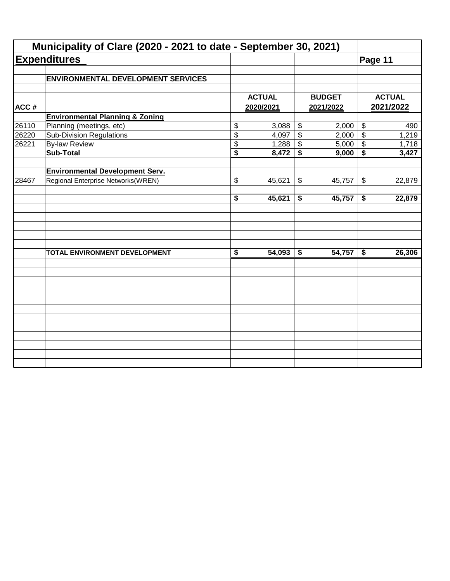|       | Municipality of Clare (2020 - 2021 to date - September 30, 2021) |                                      |               |                            |               |                            |               |
|-------|------------------------------------------------------------------|--------------------------------------|---------------|----------------------------|---------------|----------------------------|---------------|
|       | <b>Expenditures</b>                                              |                                      |               |                            |               | Page 11                    |               |
|       | <b>ENVIRONMENTAL DEVELOPMENT SERVICES</b>                        |                                      |               |                            |               |                            |               |
|       |                                                                  |                                      | <b>ACTUAL</b> |                            | <b>BUDGET</b> |                            | <b>ACTUAL</b> |
| ACC#  |                                                                  |                                      | 2020/2021     |                            | 2021/2022     |                            | 2021/2022     |
|       | <b>Environmental Planning &amp; Zoning</b>                       |                                      |               |                            |               |                            |               |
| 26110 | Planning (meetings, etc)                                         | \$                                   | 3,088         | $\boldsymbol{\mathsf{\$}}$ | 2,000         | $\boldsymbol{\mathsf{\$}}$ | 490           |
| 26220 | <b>Sub-Division Regulations</b>                                  | $\overline{\$}$                      | 4,097         | $\overline{\$}$            | 2,000         | $\overline{\$}$            | 1,219         |
| 26221 | <b>By-law Review</b>                                             | \$                                   | 1,288         | \$                         | 5,000         | $\boldsymbol{\mathsf{\$}}$ | 1,718         |
|       | <b>Sub-Total</b>                                                 | $\overline{\$}$                      | 8,472         | \$                         | 9,000         | \$                         | 3,427         |
|       | <b>Environmental Development Serv.</b>                           |                                      |               |                            |               |                            |               |
| 28467 | Regional Enterprise Networks(WREN)                               | \$                                   | 45,621        | \$                         | 45,757        | $\boldsymbol{\mathcal{F}}$ | 22,879        |
|       |                                                                  | \$                                   | 45,621        | \$                         | 45,757        | \$                         | 22,879        |
|       |                                                                  |                                      |               |                            |               |                            |               |
|       | TOTAL ENVIRONMENT DEVELOPMENT                                    | $\overline{\boldsymbol{\mathsf{s}}}$ | 54,093        | \$                         | 54,757        | \$                         | 26,306        |
|       |                                                                  |                                      |               |                            |               |                            |               |
|       |                                                                  |                                      |               |                            |               |                            |               |
|       |                                                                  |                                      |               |                            |               |                            |               |
|       |                                                                  |                                      |               |                            |               |                            |               |
|       |                                                                  |                                      |               |                            |               |                            |               |
|       |                                                                  |                                      |               |                            |               |                            |               |
|       |                                                                  |                                      |               |                            |               |                            |               |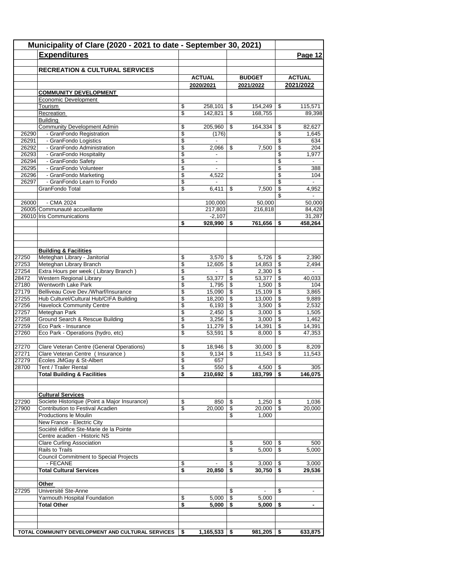|                | Municipality of Clare (2020 - 2021 to date - September 30, 2021)<br><b>Expenditures</b> |          |                            |            |                            |                                 | Page 12                    |
|----------------|-----------------------------------------------------------------------------------------|----------|----------------------------|------------|----------------------------|---------------------------------|----------------------------|
|                |                                                                                         |          |                            |            |                            |                                 |                            |
|                | <b>RECREATION &amp; CULTURAL SERVICES</b>                                               |          |                            |            |                            |                                 |                            |
|                |                                                                                         |          | <b>ACTUAL</b><br>2020/2021 |            | <b>BUDGET</b><br>2021/2022 |                                 | <b>ACTUAL</b><br>2021/2022 |
|                | <b>COMMUNITY DEVELOPMENT</b>                                                            |          |                            |            |                            |                                 |                            |
|                | Economic Development                                                                    |          |                            |            |                            |                                 |                            |
|                | Tourism                                                                                 | \$       | 258,101                    | \$         | 154.249                    | \$                              | 115,571                    |
|                | Recreation                                                                              | \$       | 142,821                    | \$         | 168,755                    |                                 | 89,398                     |
|                | <b>Building</b>                                                                         |          |                            |            |                            |                                 |                            |
|                | <b>Community Development Admin</b>                                                      | \$       | 205,960                    | \$         | 164,334                    | \$                              | 82,627                     |
| 26290<br>26291 | - GranFondo Registration<br>- GranFondo Logistics                                       | \$<br>\$ | (176)<br>$\blacksquare$    |            |                            | \$<br>\$                        | 1,645<br>634               |
| 26292          | - GranFondo Administration                                                              | \$       | 2,066                      | \$         | 7,500                      | \$                              | 204                        |
| 26293          | - GranFondo Hospitality                                                                 | \$       |                            |            |                            | \$                              | 1,977                      |
| 26294          | - GranFondo Safety                                                                      | \$       | $\overline{\phantom{a}}$   |            |                            | \$                              |                            |
| 26295          | - GranFondo Volunteer                                                                   | \$       |                            |            |                            | \$                              | 388                        |
| 26296          | - GranFondo Marketing                                                                   | \$       | 4,522                      |            |                            | \$                              | 104                        |
| 26297          | - GranFondo Learn to Fondo                                                              | \$       | $\overline{\phantom{a}}$   |            |                            | \$                              |                            |
|                | GranFondo Total                                                                         | \$       | 6,411                      | \$         | 7,500                      | \$<br>\$                        | 4,952                      |
| 26000          | - CMA 2024                                                                              |          | 100,000                    |            | 50,000                     |                                 | 50,000                     |
|                | 26005 Communauté accueillante                                                           |          | 217,803                    |            | 216,818                    |                                 | 84,428                     |
|                | 26010 Iris Communications                                                               |          | $-2,107$                   |            |                            |                                 | 31,287                     |
|                |                                                                                         | \$       | 928,990                    | \$         | 761,656                    | \$                              | 458,264                    |
|                |                                                                                         |          |                            |            |                            |                                 |                            |
|                |                                                                                         |          |                            |            |                            |                                 |                            |
|                |                                                                                         |          |                            |            |                            |                                 |                            |
|                | <b>Building &amp; Facilities</b>                                                        |          |                            |            |                            |                                 |                            |
| 27250<br>27253 | Meteghan Library - Janitorial<br>Meteghan Library Branch                                | \$<br>\$ | 3,570<br>12,605            | \$<br>\$   | 5,726<br>14,853            | -\$<br>$\overline{\mathcal{S}}$ | 2,390<br>2,494             |
| 27254          | Extra Hours per week (Library Branch)                                                   | \$       | $\overline{\phantom{a}}$   | \$         |                            |                                 |                            |
| 28472          | Western Regional Library                                                                | \$       | 53,377                     | \$         | 53,377                     | \$                              | 40,033                     |
| 27180          | Wentworth Lake Park                                                                     | \$       | 1,795                      | \$         | 1,500                      | \$                              | 104                        |
| 27179          | Belliveau Cove Dev./Wharf/Insurance                                                     | \$       | 15,090                     | \$         | 15,109                     | $\sqrt[6]{3}$                   | 3,865                      |
| 27255          | Hub Culturel/Cultural Hub/CIFA Building                                                 | \$       | 18,200                     | \$         | 13,000                     | $\sqrt[6]{3}$                   | 9,889                      |
| 27256          | <b>Havelock Community Centre</b>                                                        | \$       | 6,193                      | \$         | 3,500                      | $\sqrt{3}$                      | 2,532                      |
| 27257          | Meteghan Park                                                                           | \$       | 2,450                      | \$         | 3,000                      | $\mathfrak{s}$                  | 1,505                      |
| 27258          | Ground Search & Rescue Building                                                         | \$       | 3,256                      | \$         | 3,000                      | \$                              | 1,462                      |
| 27259<br>27260 | Eco Park - Insurance<br>Eco Park - Operations (hydro, etc)                              | \$<br>\$ | 11,279<br>53,591           | \$<br>\$   | 14,391<br>8,000            | $\mathfrak s$<br>\$             | 14,391<br>47,353           |
|                |                                                                                         |          |                            |            |                            |                                 |                            |
| 27270          | Clare Veteran Centre (General Operations)                                               | \$       | 18,946                     | \$         | 30,000                     | \$                              | 8,209                      |
| 27271          | Clare Veteran Centre ( Insurance )                                                      | \$       | 9,134                      | \$         | 11,543                     | $\boldsymbol{\mathsf{S}}$       | 11,543                     |
| 27279          | Écoles JMGay & St-Albert                                                                | \$       | 657                        |            |                            |                                 |                            |
| 28700          | Tent / Trailer Rental                                                                   | \$       | $550$ \ \$                 |            | $4,500$ \$                 |                                 | 305                        |
|                | <b>Total Building &amp; Facilities</b>                                                  | \$       | $210,692$   \$             |            | $183,799$   \$             |                                 | 146,075                    |
|                |                                                                                         |          |                            |            |                            |                                 |                            |
|                | <b>Cultural Services</b>                                                                |          |                            |            |                            |                                 |                            |
| 27290          | Societe Historique (Point a Major Insurance)                                            | \$       | 850                        | \$         | $1,250$   \$               |                                 | 1,036                      |
| 27900          | Contribution to Festival Acadien                                                        | \$       | 20,000                     | \$         | $20,000$ \ \$              |                                 | 20,000                     |
|                | Productions le Moulin                                                                   |          |                            | \$         | 1,000                      |                                 |                            |
|                | New France - Electric City                                                              |          |                            |            |                            |                                 |                            |
|                | Société édifice Ste-Marie de la Pointe                                                  |          |                            |            |                            |                                 |                            |
|                | Centre acadien - Historic NS                                                            |          |                            |            |                            |                                 |                            |
|                | <b>Clare Curling Association</b>                                                        |          |                            | \$         | $500$   \$                 |                                 | 500                        |
|                | Rails to Trails                                                                         |          |                            | \$         | 5,000                      | $\overline{\mathcal{S}}$        | 5,000                      |
|                | <b>Council Commitment to Special Projects</b><br>- FECANE                               | \$       |                            | \$         | $3,000$   \$               |                                 | 3,000                      |
|                | <b>Total Cultural Services</b>                                                          | \$       | 20,850                     | \$         | $30,750$ \$                |                                 | 29,536                     |
|                |                                                                                         |          |                            |            |                            |                                 |                            |
|                | Other                                                                                   |          |                            |            |                            |                                 |                            |
| 27295          | Université Ste-Anne                                                                     |          |                            | \$         |                            | \$                              |                            |
|                | Yarmouth Hospital Foundation                                                            | \$       | 5,000                      | $\sqrt{3}$ | 5,000                      |                                 |                            |
|                | <b>Total Other</b>                                                                      | \$       | 5,000                      | -\$        | 5,000                      | -\$                             | $\blacksquare$             |
|                |                                                                                         |          |                            |            |                            |                                 |                            |
|                |                                                                                         |          |                            |            |                            |                                 |                            |
|                | TOTAL COMMUNITY DEVELOPMENT AND CULTURAL SERVICES                                       | \$       | $1,165,533$   \$           |            | $981,205$ \$               |                                 | 633,875                    |
|                |                                                                                         |          |                            |            |                            |                                 |                            |